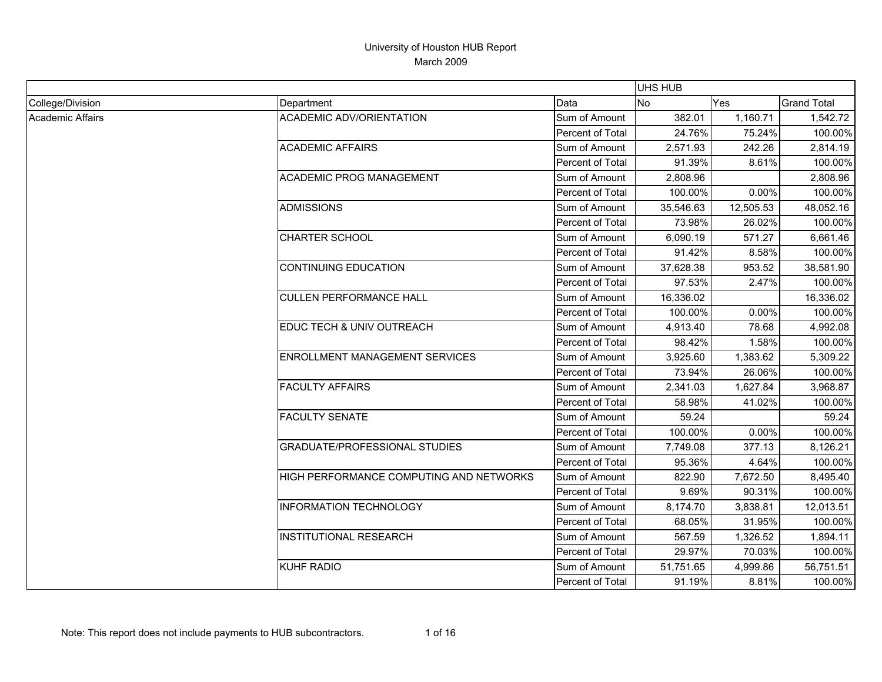|                  |                                         |                         | <b>UHS HUB</b> |           |                    |
|------------------|-----------------------------------------|-------------------------|----------------|-----------|--------------------|
| College/Division | Department                              | Data                    | No             | Yes       | <b>Grand Total</b> |
| Academic Affairs | <b>ACADEMIC ADV/ORIENTATION</b>         | Sum of Amount           | 382.01         | 1,160.71  | 1,542.72           |
|                  |                                         | Percent of Total        | 24.76%         | 75.24%    | 100.00%            |
|                  | <b>ACADEMIC AFFAIRS</b>                 | Sum of Amount           | 2,571.93       | 242.26    | 2,814.19           |
|                  |                                         | Percent of Total        | 91.39%         | 8.61%     | 100.00%            |
|                  | <b>ACADEMIC PROG MANAGEMENT</b>         | Sum of Amount           | 2,808.96       |           | 2,808.96           |
|                  |                                         | <b>Percent of Total</b> | 100.00%        | 0.00%     | 100.00%            |
|                  | <b>ADMISSIONS</b>                       | Sum of Amount           | 35,546.63      | 12,505.53 | 48,052.16          |
|                  |                                         | Percent of Total        | 73.98%         | 26.02%    | 100.00%            |
|                  | <b>CHARTER SCHOOL</b>                   | Sum of Amount           | 6,090.19       | 571.27    | 6,661.46           |
|                  |                                         | Percent of Total        | 91.42%         | 8.58%     | 100.00%            |
|                  | <b>CONTINUING EDUCATION</b>             | Sum of Amount           | 37,628.38      | 953.52    | 38,581.90          |
|                  |                                         | Percent of Total        | 97.53%         | 2.47%     | 100.00%            |
|                  | <b>CULLEN PERFORMANCE HALL</b>          | Sum of Amount           | 16,336.02      |           | 16,336.02          |
|                  |                                         | <b>Percent of Total</b> | 100.00%        | 0.00%     | 100.00%            |
|                  | EDUC TECH & UNIV OUTREACH               | Sum of Amount           | 4,913.40       | 78.68     | 4,992.08           |
|                  |                                         | Percent of Total        | 98.42%         | 1.58%     | 100.00%            |
|                  | ENROLLMENT MANAGEMENT SERVICES          | Sum of Amount           | 3,925.60       | 1,383.62  | 5,309.22           |
|                  |                                         | Percent of Total        | 73.94%         | 26.06%    | 100.00%            |
|                  | <b>FACULTY AFFAIRS</b>                  | Sum of Amount           | 2,341.03       | 1,627.84  | 3,968.87           |
|                  |                                         | Percent of Total        | 58.98%         | 41.02%    | 100.00%            |
|                  | <b>FACULTY SENATE</b>                   | Sum of Amount           | 59.24          |           | 59.24              |
|                  |                                         | Percent of Total        | 100.00%        | 0.00%     | 100.00%            |
|                  | <b>GRADUATE/PROFESSIONAL STUDIES</b>    | Sum of Amount           | 7,749.08       | 377.13    | 8,126.21           |
|                  |                                         | Percent of Total        | 95.36%         | 4.64%     | 100.00%            |
|                  | HIGH PERFORMANCE COMPUTING AND NETWORKS | Sum of Amount           | 822.90         | 7,672.50  | 8,495.40           |
|                  |                                         | Percent of Total        | 9.69%          | 90.31%    | 100.00%            |
|                  | <b>INFORMATION TECHNOLOGY</b>           | Sum of Amount           | 8,174.70       | 3,838.81  | 12,013.51          |
|                  |                                         | Percent of Total        | 68.05%         | 31.95%    | 100.00%            |
|                  | <b>INSTITUTIONAL RESEARCH</b>           | Sum of Amount           | 567.59         | 1,326.52  | 1,894.11           |
|                  |                                         | Percent of Total        | 29.97%         | 70.03%    | 100.00%            |
|                  | <b>KUHF RADIO</b>                       | Sum of Amount           | 51,751.65      | 4,999.86  | 56,751.51          |
|                  |                                         | Percent of Total        | 91.19%         | 8.81%     | 100.00%            |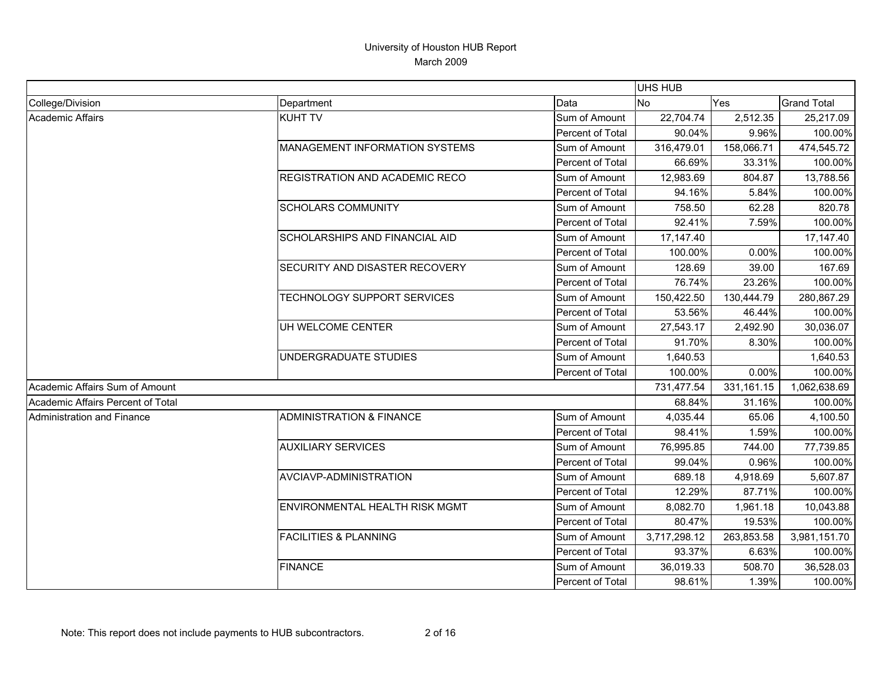|                                   |                                     |                  | <b>UHS HUB</b> |            |                    |
|-----------------------------------|-------------------------------------|------------------|----------------|------------|--------------------|
| College/Division                  | Department                          | Data             | No             | Yes        | <b>Grand Total</b> |
| <b>Academic Affairs</b>           | <b>KUHT TV</b>                      | Sum of Amount    | 22,704.74      | 2,512.35   | 25,217.09          |
|                                   |                                     | Percent of Total | 90.04%         | 9.96%      | 100.00%            |
|                                   | MANAGEMENT INFORMATION SYSTEMS      | Sum of Amount    | 316,479.01     | 158,066.71 | 474,545.72         |
|                                   |                                     | Percent of Total | 66.69%         | 33.31%     | 100.00%            |
|                                   | REGISTRATION AND ACADEMIC RECO      | Sum of Amount    | 12,983.69      | 804.87     | 13,788.56          |
|                                   |                                     | Percent of Total | 94.16%         | 5.84%      | 100.00%            |
|                                   | <b>SCHOLARS COMMUNITY</b>           | Sum of Amount    | 758.50         | 62.28      | 820.78             |
|                                   |                                     | Percent of Total | 92.41%         | 7.59%      | 100.00%            |
|                                   | SCHOLARSHIPS AND FINANCIAL AID      | Sum of Amount    | 17,147.40      |            | 17,147.40          |
|                                   |                                     | Percent of Total | 100.00%        | 0.00%      | 100.00%            |
|                                   | SECURITY AND DISASTER RECOVERY      | Sum of Amount    | 128.69         | 39.00      | 167.69             |
|                                   |                                     | Percent of Total | 76.74%         | 23.26%     | 100.00%            |
|                                   | TECHNOLOGY SUPPORT SERVICES         | Sum of Amount    | 150,422.50     | 130,444.79 | 280,867.29         |
|                                   |                                     | Percent of Total | 53.56%         | 46.44%     | 100.00%            |
|                                   | UH WELCOME CENTER                   | Sum of Amount    | 27,543.17      | 2,492.90   | 30,036.07          |
|                                   |                                     | Percent of Total | 91.70%         | 8.30%      | 100.00%            |
|                                   | UNDERGRADUATE STUDIES               | Sum of Amount    | 1,640.53       |            | 1,640.53           |
|                                   |                                     | Percent of Total | 100.00%        | 0.00%      | 100.00%            |
| Academic Affairs Sum of Amount    |                                     |                  | 731,477.54     | 331,161.15 | 1,062,638.69       |
| Academic Affairs Percent of Total |                                     |                  | 68.84%         | 31.16%     | 100.00%            |
| <b>Administration and Finance</b> | <b>ADMINISTRATION &amp; FINANCE</b> | Sum of Amount    | 4,035.44       | 65.06      | 4,100.50           |
|                                   |                                     | Percent of Total | 98.41%         | 1.59%      | 100.00%            |
|                                   | <b>AUXILIARY SERVICES</b>           | Sum of Amount    | 76,995.85      | 744.00     | 77,739.85          |
|                                   |                                     | Percent of Total | 99.04%         | 0.96%      | 100.00%            |
|                                   | AVCIAVP-ADMINISTRATION              | Sum of Amount    | 689.18         | 4,918.69   | 5,607.87           |
|                                   |                                     | Percent of Total | 12.29%         | 87.71%     | 100.00%            |
|                                   | ENVIRONMENTAL HEALTH RISK MGMT      | Sum of Amount    | 8,082.70       | 1,961.18   | 10,043.88          |
|                                   |                                     | Percent of Total | 80.47%         | 19.53%     | 100.00%            |
|                                   | <b>FACILITIES &amp; PLANNING</b>    | Sum of Amount    | 3,717,298.12   | 263,853.58 | 3,981,151.70       |
|                                   |                                     | Percent of Total | 93.37%         | 6.63%      | 100.00%            |
|                                   | <b>FINANCE</b>                      | Sum of Amount    | 36,019.33      | 508.70     | 36,528.03          |
|                                   |                                     | Percent of Total | 98.61%         | 1.39%      | 100.00%            |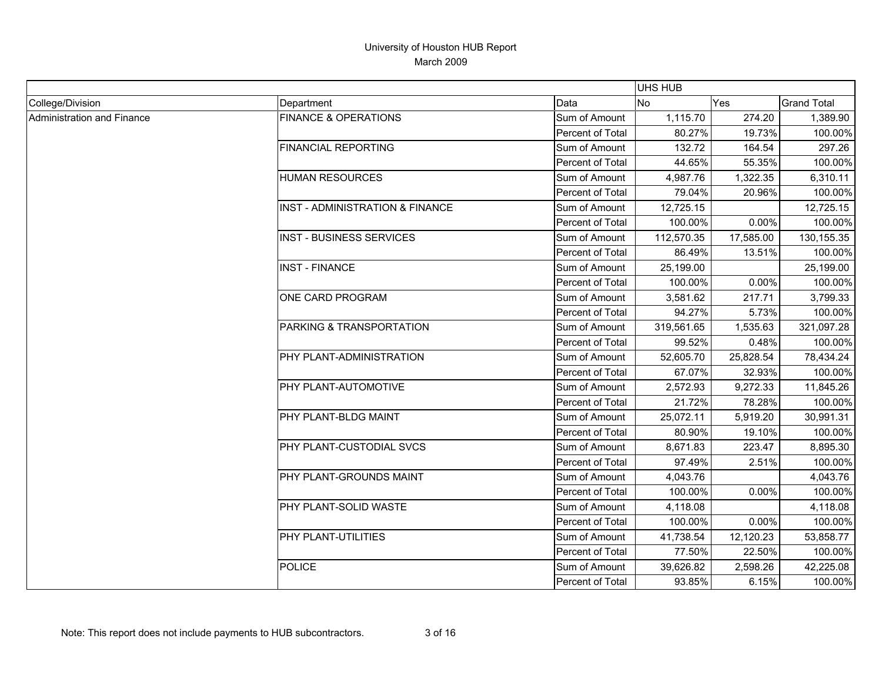|                            |                                            |                         | <b>UHS HUB</b> |           |                    |
|----------------------------|--------------------------------------------|-------------------------|----------------|-----------|--------------------|
| College/Division           | Department                                 | Data                    | <b>No</b>      | Yes       | <b>Grand Total</b> |
| Administration and Finance | <b>FINANCE &amp; OPERATIONS</b>            | Sum of Amount           | 1,115.70       | 274.20    | 1,389.90           |
|                            |                                            | <b>Percent of Total</b> | 80.27%         | 19.73%    | 100.00%            |
|                            | <b>FINANCIAL REPORTING</b>                 | Sum of Amount           | 132.72         | 164.54    | 297.26             |
|                            |                                            | Percent of Total        | 44.65%         | 55.35%    | 100.00%            |
|                            | <b>HUMAN RESOURCES</b>                     | Sum of Amount           | 4,987.76       | 1,322.35  | 6,310.11           |
|                            |                                            | Percent of Total        | 79.04%         | 20.96%    | 100.00%            |
|                            | <b>INST - ADMINISTRATION &amp; FINANCE</b> | Sum of Amount           | 12,725.15      |           | 12,725.15          |
|                            |                                            | Percent of Total        | 100.00%        | 0.00%     | 100.00%            |
|                            | <b>INST - BUSINESS SERVICES</b>            | Sum of Amount           | 112,570.35     | 17,585.00 | 130, 155.35        |
|                            |                                            | Percent of Total        | 86.49%         | 13.51%    | 100.00%            |
|                            | <b>INST - FINANCE</b>                      | Sum of Amount           | 25,199.00      |           | 25,199.00          |
|                            |                                            | Percent of Total        | 100.00%        | 0.00%     | 100.00%            |
|                            | ONE CARD PROGRAM                           | Sum of Amount           | 3,581.62       | 217.71    | 3,799.33           |
|                            |                                            | <b>Percent of Total</b> | 94.27%         | 5.73%     | 100.00%            |
|                            | PARKING & TRANSPORTATION                   | Sum of Amount           | 319,561.65     | 1,535.63  | 321,097.28         |
|                            |                                            | <b>Percent of Total</b> | 99.52%         | 0.48%     | 100.00%            |
|                            | PHY PLANT-ADMINISTRATION                   | Sum of Amount           | 52,605.70      | 25,828.54 | 78,434.24          |
|                            |                                            | Percent of Total        | 67.07%         | 32.93%    | 100.00%            |
|                            | PHY PLANT-AUTOMOTIVE                       | Sum of Amount           | 2,572.93       | 9,272.33  | 11,845.26          |
|                            |                                            | Percent of Total        | 21.72%         | 78.28%    | 100.00%            |
|                            | PHY PLANT-BLDG MAINT                       | Sum of Amount           | 25,072.11      | 5,919.20  | 30,991.31          |
|                            |                                            | Percent of Total        | 80.90%         | 19.10%    | 100.00%            |
|                            | PHY PLANT-CUSTODIAL SVCS                   | Sum of Amount           | 8,671.83       | 223.47    | 8,895.30           |
|                            |                                            | Percent of Total        | 97.49%         | 2.51%     | 100.00%            |
|                            | PHY PLANT-GROUNDS MAINT                    | Sum of Amount           | 4,043.76       |           | 4,043.76           |
|                            |                                            | Percent of Total        | 100.00%        | 0.00%     | 100.00%            |
|                            | PHY PLANT-SOLID WASTE                      | Sum of Amount           | 4,118.08       |           | 4,118.08           |
|                            |                                            | Percent of Total        | 100.00%        | 0.00%     | 100.00%            |
|                            | PHY PLANT-UTILITIES                        | Sum of Amount           | 41,738.54      | 12,120.23 | 53,858.77          |
|                            |                                            | Percent of Total        | 77.50%         | 22.50%    | 100.00%            |
|                            | <b>POLICE</b>                              | Sum of Amount           | 39,626.82      | 2,598.26  | 42,225.08          |
|                            |                                            | Percent of Total        | 93.85%         | 6.15%     | 100.00%            |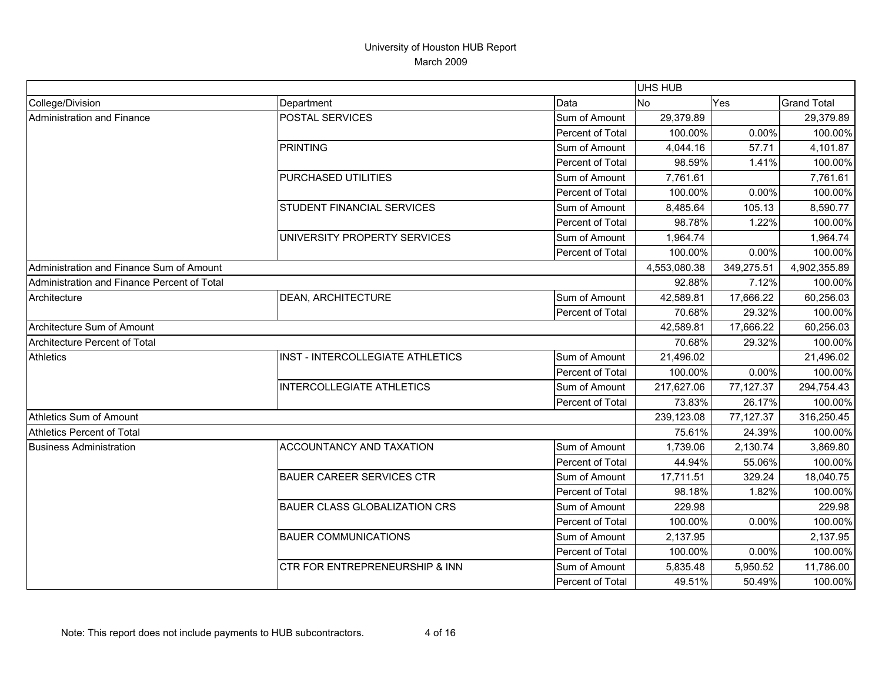|                                             |                                      |                  | UHS HUB      |            |                    |
|---------------------------------------------|--------------------------------------|------------------|--------------|------------|--------------------|
| College/Division                            | Department                           | Data             | <b>No</b>    | Yes        | <b>Grand Total</b> |
| Administration and Finance                  | POSTAL SERVICES                      | Sum of Amount    | 29,379.89    |            | 29,379.89          |
|                                             |                                      | Percent of Total | 100.00%      | 0.00%      | 100.00%            |
|                                             | <b>PRINTING</b>                      | Sum of Amount    | 4,044.16     | 57.71      | 4,101.87           |
|                                             |                                      | Percent of Total | 98.59%       | 1.41%      | 100.00%            |
|                                             | PURCHASED UTILITIES                  | Sum of Amount    | 7,761.61     |            | 7,761.61           |
|                                             |                                      | Percent of Total | 100.00%      | 0.00%      | 100.00%            |
|                                             | <b>STUDENT FINANCIAL SERVICES</b>    | Sum of Amount    | 8,485.64     | 105.13     | 8,590.77           |
|                                             |                                      | Percent of Total | 98.78%       | 1.22%      | 100.00%            |
|                                             | UNIVERSITY PROPERTY SERVICES         | Sum of Amount    | 1,964.74     |            | 1,964.74           |
|                                             |                                      | Percent of Total | 100.00%      | 0.00%      | 100.00%            |
| Administration and Finance Sum of Amount    |                                      |                  | 4,553,080.38 | 349,275.51 | 4,902,355.89       |
| Administration and Finance Percent of Total |                                      |                  | 92.88%       | 7.12%      | 100.00%            |
| Architecture                                | <b>DEAN, ARCHITECTURE</b>            | Sum of Amount    | 42,589.81    | 17,666.22  | 60,256.03          |
|                                             |                                      | Percent of Total | 70.68%       | 29.32%     | 100.00%            |
| Architecture Sum of Amount                  |                                      |                  | 42,589.81    | 17,666.22  | 60,256.03          |
| Architecture Percent of Total               |                                      |                  | 70.68%       | 29.32%     | 100.00%            |
| <b>Athletics</b>                            | INST - INTERCOLLEGIATE ATHLETICS     | Sum of Amount    | 21,496.02    |            | 21,496.02          |
|                                             |                                      | Percent of Total | 100.00%      | 0.00%      | 100.00%            |
|                                             | <b>INTERCOLLEGIATE ATHLETICS</b>     | Sum of Amount    | 217,627.06   | 77,127.37  | 294,754.43         |
|                                             |                                      | Percent of Total | 73.83%       | 26.17%     | 100.00%            |
| Athletics Sum of Amount                     |                                      |                  | 239,123.08   | 77,127.37  | 316,250.45         |
| Athletics Percent of Total                  |                                      |                  | 75.61%       | 24.39%     | 100.00%            |
| <b>Business Administration</b>              | ACCOUNTANCY AND TAXATION             | Sum of Amount    | 1,739.06     | 2,130.74   | 3,869.80           |
|                                             |                                      | Percent of Total | 44.94%       | 55.06%     | 100.00%            |
|                                             | <b>BAUER CAREER SERVICES CTR</b>     | Sum of Amount    | 17,711.51    | 329.24     | 18,040.75          |
|                                             |                                      | Percent of Total | 98.18%       | 1.82%      | 100.00%            |
|                                             | <b>BAUER CLASS GLOBALIZATION CRS</b> | Sum of Amount    | 229.98       |            | 229.98             |
|                                             |                                      | Percent of Total | 100.00%      | 0.00%      | 100.00%            |
|                                             | <b>BAUER COMMUNICATIONS</b>          | Sum of Amount    | 2,137.95     |            | 2,137.95           |
|                                             |                                      | Percent of Total | 100.00%      | 0.00%      | 100.00%            |
|                                             | CTR FOR ENTREPRENEURSHIP & INN       | Sum of Amount    | 5,835.48     | 5,950.52   | 11,786.00          |
|                                             |                                      | Percent of Total | 49.51%       | 50.49%     | 100.00%            |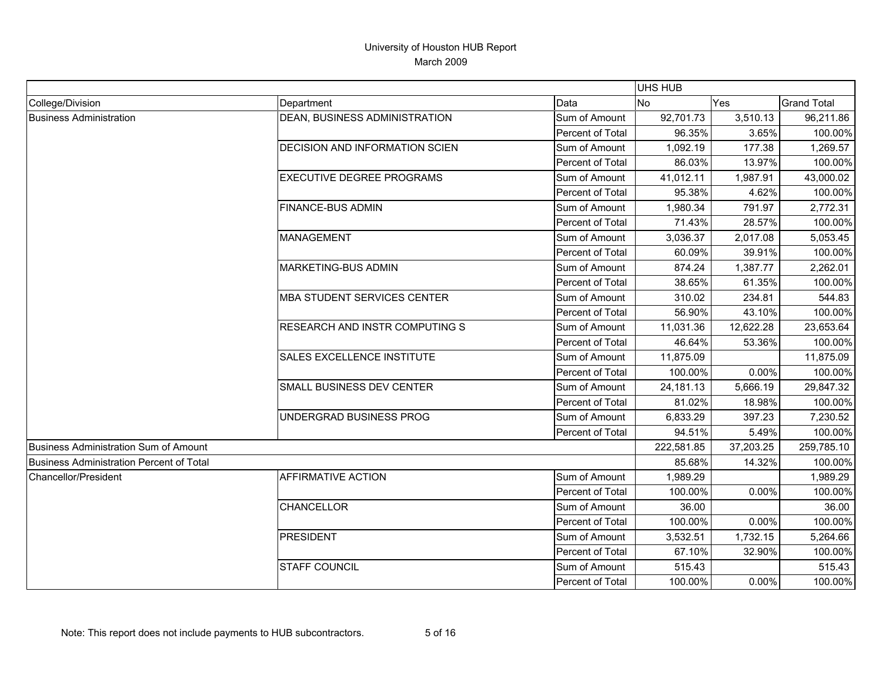|                                                 |                                       |                  | <b>UHS HUB</b> |           |                    |
|-------------------------------------------------|---------------------------------------|------------------|----------------|-----------|--------------------|
| College/Division                                | Department                            | Data             | <b>No</b>      | Yes       | <b>Grand Total</b> |
| <b>Business Administration</b>                  | DEAN, BUSINESS ADMINISTRATION         | Sum of Amount    | 92,701.73      | 3,510.13  | 96,211.86          |
|                                                 |                                       | Percent of Total | 96.35%         | 3.65%     | 100.00%            |
|                                                 | <b>DECISION AND INFORMATION SCIEN</b> | Sum of Amount    | 1,092.19       | 177.38    | 1,269.57           |
|                                                 |                                       | Percent of Total | 86.03%         | 13.97%    | 100.00%            |
|                                                 | <b>EXECUTIVE DEGREE PROGRAMS</b>      | Sum of Amount    | 41,012.11      | 1,987.91  | 43,000.02          |
|                                                 |                                       | Percent of Total | 95.38%         | 4.62%     | 100.00%            |
|                                                 | <b>FINANCE-BUS ADMIN</b>              | Sum of Amount    | 1,980.34       | 791.97    | 2,772.31           |
|                                                 |                                       | Percent of Total | 71.43%         | 28.57%    | 100.00%            |
|                                                 | <b>MANAGEMENT</b>                     | Sum of Amount    | 3,036.37       | 2,017.08  | 5,053.45           |
|                                                 |                                       | Percent of Total | 60.09%         | 39.91%    | 100.00%            |
|                                                 | <b>MARKETING-BUS ADMIN</b>            | Sum of Amount    | 874.24         | 1,387.77  | 2,262.01           |
|                                                 |                                       | Percent of Total | 38.65%         | 61.35%    | 100.00%            |
|                                                 | <b>MBA STUDENT SERVICES CENTER</b>    | Sum of Amount    | 310.02         | 234.81    | 544.83             |
|                                                 |                                       | Percent of Total | 56.90%         | 43.10%    | 100.00%            |
|                                                 | RESEARCH AND INSTR COMPUTING S        | Sum of Amount    | 11,031.36      | 12,622.28 | 23,653.64          |
|                                                 |                                       | Percent of Total | 46.64%         | 53.36%    | 100.00%            |
|                                                 | SALES EXCELLENCE INSTITUTE            | Sum of Amount    | 11,875.09      |           | 11,875.09          |
|                                                 |                                       | Percent of Total | 100.00%        | 0.00%     | 100.00%            |
|                                                 | SMALL BUSINESS DEV CENTER             | Sum of Amount    | 24,181.13      | 5,666.19  | 29,847.32          |
|                                                 |                                       | Percent of Total | 81.02%         | 18.98%    | 100.00%            |
|                                                 | UNDERGRAD BUSINESS PROG               | Sum of Amount    | 6,833.29       | 397.23    | 7,230.52           |
|                                                 |                                       | Percent of Total | 94.51%         | 5.49%     | 100.00%            |
| Business Administration Sum of Amount           |                                       |                  | 222,581.85     | 37,203.25 | 259,785.10         |
| <b>Business Administration Percent of Total</b> |                                       |                  | 85.68%         | 14.32%    | 100.00%            |
| Chancellor/President                            | <b>AFFIRMATIVE ACTION</b>             | Sum of Amount    | 1,989.29       |           | 1,989.29           |
|                                                 |                                       | Percent of Total | 100.00%        | 0.00%     | 100.00%            |
|                                                 | <b>CHANCELLOR</b>                     | Sum of Amount    | 36.00          |           | 36.00              |
|                                                 |                                       | Percent of Total | 100.00%        | 0.00%     | 100.00%            |
|                                                 | <b>PRESIDENT</b>                      | Sum of Amount    | 3,532.51       | 1,732.15  | 5,264.66           |
|                                                 |                                       | Percent of Total | 67.10%         | 32.90%    | 100.00%            |
|                                                 | <b>STAFF COUNCIL</b>                  | Sum of Amount    | 515.43         |           | 515.43             |
|                                                 |                                       | Percent of Total | 100.00%        | 0.00%     | 100.00%            |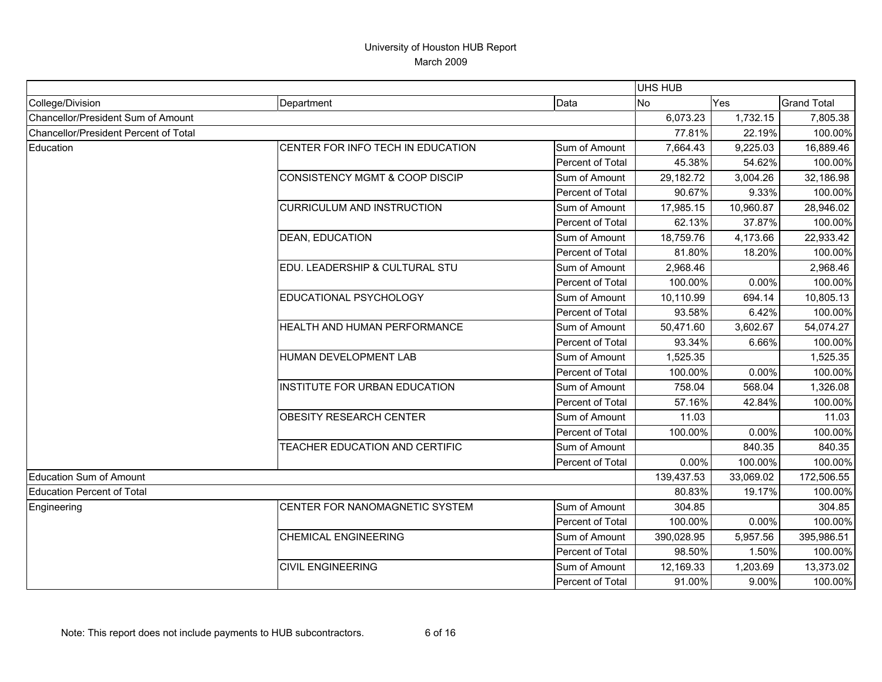|                                       |                                       |                  | <b>UHS HUB</b> |           |                    |
|---------------------------------------|---------------------------------------|------------------|----------------|-----------|--------------------|
| College/Division                      | Department                            | Data             | <b>No</b>      | Yes       | <b>Grand Total</b> |
| Chancellor/President Sum of Amount    |                                       |                  | 6,073.23       | 1,732.15  | 7,805.38           |
| Chancellor/President Percent of Total |                                       |                  | 77.81%         | 22.19%    | 100.00%            |
| Education                             | CENTER FOR INFO TECH IN EDUCATION     | Sum of Amount    | 7,664.43       | 9,225.03  | 16,889.46          |
|                                       |                                       | Percent of Total | 45.38%         | 54.62%    | 100.00%            |
|                                       | CONSISTENCY MGMT & COOP DISCIP        | Sum of Amount    | 29,182.72      | 3,004.26  | 32,186.98          |
|                                       |                                       | Percent of Total | 90.67%         | 9.33%     | 100.00%            |
|                                       | <b>CURRICULUM AND INSTRUCTION</b>     | Sum of Amount    | 17,985.15      | 10,960.87 | 28,946.02          |
|                                       |                                       | Percent of Total | 62.13%         | 37.87%    | 100.00%            |
|                                       | DEAN, EDUCATION                       | Sum of Amount    | 18,759.76      | 4,173.66  | 22,933.42          |
|                                       |                                       | Percent of Total | 81.80%         | 18.20%    | 100.00%            |
|                                       | EDU. LEADERSHIP & CULTURAL STU        | Sum of Amount    | 2,968.46       |           | 2,968.46           |
|                                       |                                       | Percent of Total | 100.00%        | 0.00%     | 100.00%            |
|                                       | EDUCATIONAL PSYCHOLOGY                | Sum of Amount    | 10,110.99      | 694.14    | 10,805.13          |
|                                       |                                       | Percent of Total | 93.58%         | 6.42%     | 100.00%            |
|                                       | HEALTH AND HUMAN PERFORMANCE          | Sum of Amount    | 50,471.60      | 3,602.67  | 54,074.27          |
|                                       |                                       | Percent of Total | 93.34%         | 6.66%     | 100.00%            |
|                                       | HUMAN DEVELOPMENT LAB                 | Sum of Amount    | 1,525.35       |           | 1,525.35           |
|                                       |                                       | Percent of Total | 100.00%        | 0.00%     | 100.00%            |
|                                       | INSTITUTE FOR URBAN EDUCATION         | Sum of Amount    | 758.04         | 568.04    | 1,326.08           |
|                                       |                                       | Percent of Total | 57.16%         | 42.84%    | 100.00%            |
|                                       | <b>OBESITY RESEARCH CENTER</b>        | Sum of Amount    | 11.03          |           | 11.03              |
|                                       |                                       | Percent of Total | 100.00%        | 0.00%     | 100.00%            |
|                                       | <b>TEACHER EDUCATION AND CERTIFIC</b> | Sum of Amount    |                | 840.35    | 840.35             |
|                                       |                                       | Percent of Total | 0.00%          | 100.00%   | 100.00%            |
| <b>Education Sum of Amount</b>        |                                       |                  | 139,437.53     | 33,069.02 | 172,506.55         |
| <b>Education Percent of Total</b>     |                                       |                  | 80.83%         | 19.17%    | 100.00%            |
| Engineering                           | CENTER FOR NANOMAGNETIC SYSTEM        | Sum of Amount    | 304.85         |           | 304.85             |
|                                       |                                       | Percent of Total | 100.00%        | 0.00%     | 100.00%            |
|                                       | <b>CHEMICAL ENGINEERING</b>           | Sum of Amount    | 390,028.95     | 5,957.56  | 395,986.51         |
|                                       |                                       | Percent of Total | 98.50%         | 1.50%     | 100.00%            |
|                                       | <b>CIVIL ENGINEERING</b>              | Sum of Amount    | 12,169.33      | 1,203.69  | 13,373.02          |
|                                       |                                       | Percent of Total | 91.00%         | 9.00%     | 100.00%            |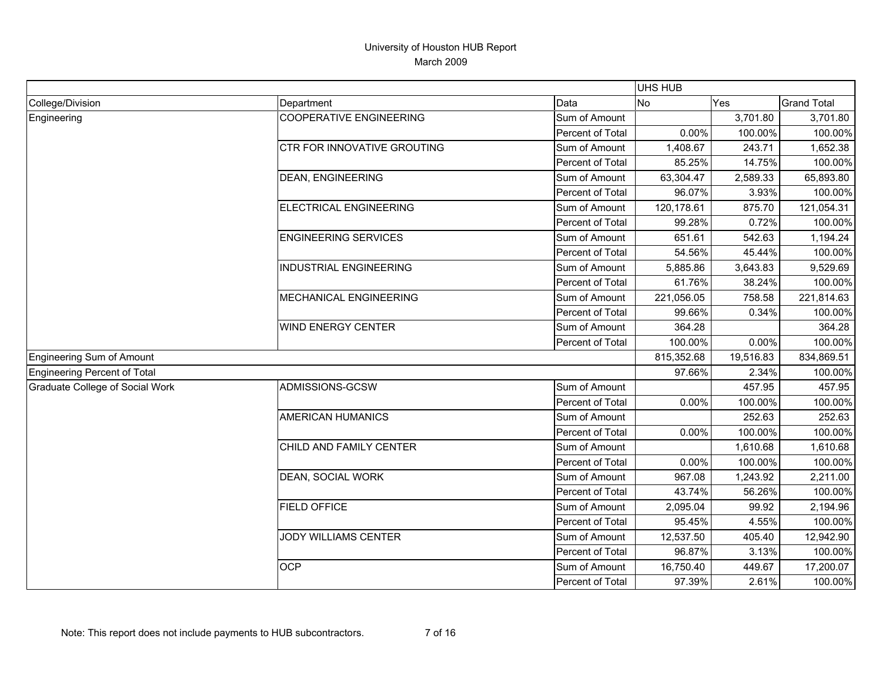|                                        |                                |                  | UHS HUB    |           |                    |
|----------------------------------------|--------------------------------|------------------|------------|-----------|--------------------|
| College/Division                       | Department                     | Data             | <b>No</b>  | Yes       | <b>Grand Total</b> |
| Engineering                            | <b>COOPERATIVE ENGINEERING</b> | Sum of Amount    |            | 3,701.80  | 3,701.80           |
|                                        |                                | Percent of Total | 0.00%      | 100.00%   | 100.00%            |
|                                        | CTR FOR INNOVATIVE GROUTING    | Sum of Amount    | 1,408.67   | 243.71    | 1,652.38           |
|                                        |                                | Percent of Total | 85.25%     | 14.75%    | 100.00%            |
|                                        | <b>DEAN, ENGINEERING</b>       | Sum of Amount    | 63,304.47  | 2,589.33  | 65,893.80          |
|                                        |                                | Percent of Total | 96.07%     | 3.93%     | 100.00%            |
|                                        | <b>ELECTRICAL ENGINEERING</b>  | Sum of Amount    | 120,178.61 | 875.70    | 121,054.31         |
|                                        |                                | Percent of Total | 99.28%     | 0.72%     | 100.00%            |
|                                        | <b>ENGINEERING SERVICES</b>    | Sum of Amount    | 651.61     | 542.63    | 1,194.24           |
|                                        |                                | Percent of Total | 54.56%     | 45.44%    | 100.00%            |
|                                        | <b>INDUSTRIAL ENGINEERING</b>  | Sum of Amount    | 5,885.86   | 3,643.83  | 9,529.69           |
|                                        |                                | Percent of Total | 61.76%     | 38.24%    | 100.00%            |
|                                        | MECHANICAL ENGINEERING         | Sum of Amount    | 221,056.05 | 758.58    | 221,814.63         |
|                                        |                                | Percent of Total | 99.66%     | 0.34%     | 100.00%            |
|                                        | <b>WIND ENERGY CENTER</b>      | Sum of Amount    | 364.28     |           | 364.28             |
|                                        |                                | Percent of Total | 100.00%    | 0.00%     | 100.00%            |
| Engineering Sum of Amount              |                                |                  | 815,352.68 | 19,516.83 | 834,869.51         |
| <b>Engineering Percent of Total</b>    |                                |                  | 97.66%     | 2.34%     | 100.00%            |
| <b>Graduate College of Social Work</b> | ADMISSIONS-GCSW                | Sum of Amount    |            | 457.95    | 457.95             |
|                                        |                                | Percent of Total | 0.00%      | 100.00%   | 100.00%            |
|                                        | <b>AMERICAN HUMANICS</b>       | Sum of Amount    |            | 252.63    | 252.63             |
|                                        |                                | Percent of Total | 0.00%      | 100.00%   | 100.00%            |
|                                        | CHILD AND FAMILY CENTER        | Sum of Amount    |            | 1,610.68  | 1,610.68           |
|                                        |                                | Percent of Total | 0.00%      | 100.00%   | 100.00%            |
|                                        | DEAN, SOCIAL WORK              | Sum of Amount    | 967.08     | 1,243.92  | 2,211.00           |
|                                        |                                | Percent of Total | 43.74%     | 56.26%    | 100.00%            |
|                                        | <b>FIELD OFFICE</b>            | Sum of Amount    | 2,095.04   | 99.92     | 2,194.96           |
|                                        |                                | Percent of Total | 95.45%     | 4.55%     | 100.00%            |
|                                        | <b>JODY WILLIAMS CENTER</b>    | Sum of Amount    | 12,537.50  | 405.40    | 12,942.90          |
|                                        |                                | Percent of Total | 96.87%     | 3.13%     | 100.00%            |
|                                        | <b>OCP</b>                     | Sum of Amount    | 16,750.40  | 449.67    | 17,200.07          |
|                                        |                                | Percent of Total | 97.39%     | 2.61%     | 100.00%            |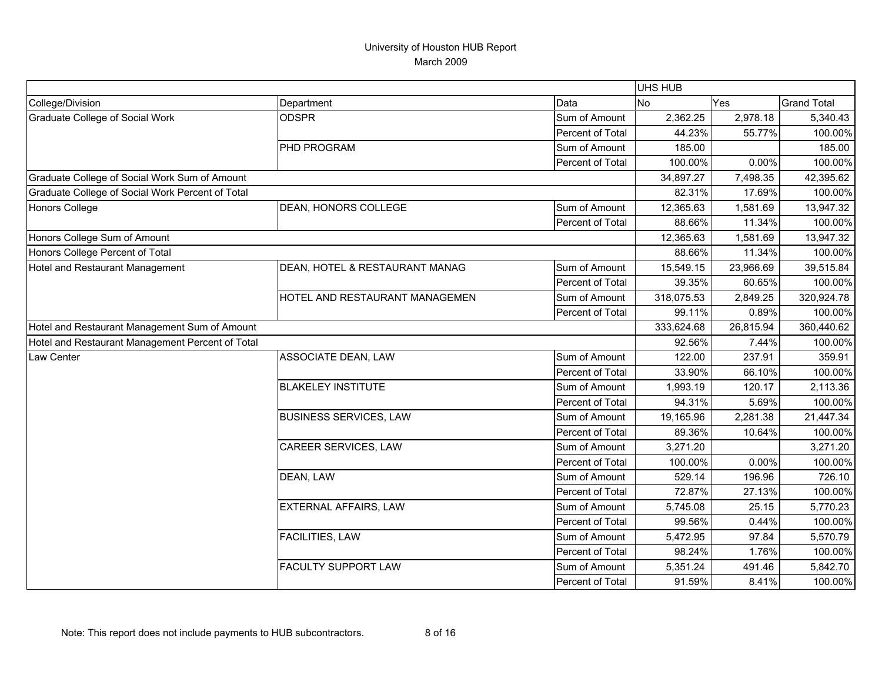|                                                  |                                |                  | UHS HUB    |            |                    |
|--------------------------------------------------|--------------------------------|------------------|------------|------------|--------------------|
| College/Division                                 | Department                     | Data             | No         | <b>Yes</b> | <b>Grand Total</b> |
| <b>Graduate College of Social Work</b>           | <b>ODSPR</b>                   | Sum of Amount    | 2,362.25   | 2,978.18   | 5,340.43           |
|                                                  |                                | Percent of Total | 44.23%     | 55.77%     | 100.00%            |
|                                                  | PHD PROGRAM                    | Sum of Amount    | 185.00     |            | 185.00             |
|                                                  |                                | Percent of Total | 100.00%    | 0.00%      | 100.00%            |
| Graduate College of Social Work Sum of Amount    |                                |                  | 34,897.27  | 7,498.35   | 42,395.62          |
| Graduate College of Social Work Percent of Total |                                |                  | 82.31%     | 17.69%     | 100.00%            |
| <b>Honors College</b>                            | DEAN, HONORS COLLEGE           | Sum of Amount    | 12,365.63  | 1,581.69   | 13,947.32          |
|                                                  |                                | Percent of Total | 88.66%     | 11.34%     | 100.00%            |
| Honors College Sum of Amount                     |                                |                  | 12,365.63  | 1,581.69   | 13,947.32          |
| Honors College Percent of Total                  |                                |                  | 88.66%     | 11.34%     | 100.00%            |
| <b>Hotel and Restaurant Management</b>           | DEAN, HOTEL & RESTAURANT MANAG | Sum of Amount    | 15,549.15  | 23,966.69  | 39,515.84          |
|                                                  |                                | Percent of Total | 39.35%     | 60.65%     | 100.00%            |
|                                                  | HOTEL AND RESTAURANT MANAGEMEN | Sum of Amount    | 318,075.53 | 2,849.25   | 320,924.78         |
|                                                  |                                | Percent of Total | 99.11%     | 0.89%      | 100.00%            |
| Hotel and Restaurant Management Sum of Amount    |                                |                  | 333,624.68 | 26,815.94  | 360,440.62         |
| Hotel and Restaurant Management Percent of Total |                                |                  | 92.56%     | 7.44%      | 100.00%            |
| Law Center                                       | ASSOCIATE DEAN, LAW            | Sum of Amount    | 122.00     | 237.91     | 359.91             |
|                                                  |                                | Percent of Total | 33.90%     | 66.10%     | 100.00%            |
|                                                  | <b>BLAKELEY INSTITUTE</b>      | Sum of Amount    | 1,993.19   | 120.17     | 2,113.36           |
|                                                  |                                | Percent of Total | 94.31%     | 5.69%      | 100.00%            |
|                                                  | <b>BUSINESS SERVICES, LAW</b>  | Sum of Amount    | 19,165.96  | 2,281.38   | 21,447.34          |
|                                                  |                                | Percent of Total | 89.36%     | 10.64%     | 100.00%            |
|                                                  | <b>CAREER SERVICES, LAW</b>    | Sum of Amount    | 3,271.20   |            | 3,271.20           |
|                                                  |                                | Percent of Total | 100.00%    | 0.00%      | 100.00%            |
|                                                  | DEAN, LAW                      | Sum of Amount    | 529.14     | 196.96     | 726.10             |
|                                                  |                                | Percent of Total | 72.87%     | 27.13%     | 100.00%            |
|                                                  | <b>EXTERNAL AFFAIRS, LAW</b>   | Sum of Amount    | 5,745.08   | 25.15      | 5,770.23           |
|                                                  |                                | Percent of Total | 99.56%     | 0.44%      | 100.00%            |
|                                                  | <b>FACILITIES, LAW</b>         | Sum of Amount    | 5,472.95   | 97.84      | 5,570.79           |
|                                                  |                                | Percent of Total | 98.24%     | 1.76%      | 100.00%            |
|                                                  | <b>FACULTY SUPPORT LAW</b>     | Sum of Amount    | 5,351.24   | 491.46     | 5,842.70           |
|                                                  |                                | Percent of Total | 91.59%     | 8.41%      | 100.00%            |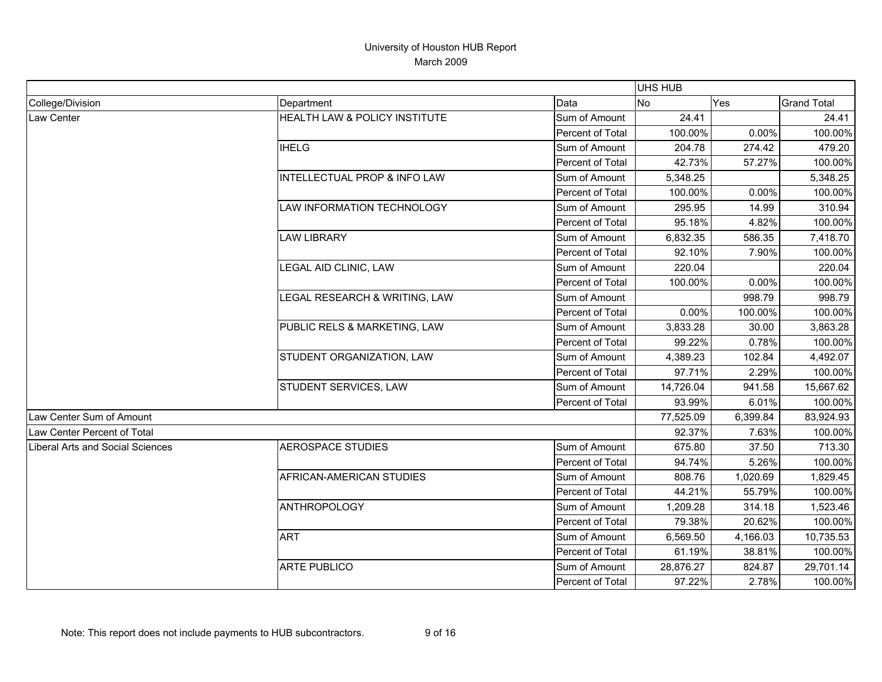|                                         |                                         |                  | <b>UHS HUB</b> |          |                    |
|-----------------------------------------|-----------------------------------------|------------------|----------------|----------|--------------------|
| College/Division                        | Department                              | Data             | No             | Yes      | <b>Grand Total</b> |
| Law Center                              | HEALTH LAW & POLICY INSTITUTE           | Sum of Amount    | 24.41          |          | 24.41              |
|                                         |                                         | Percent of Total | 100.00%        | 0.00%    | 100.00%            |
|                                         | <b>IHELG</b>                            | Sum of Amount    | 204.78         | 274.42   | 479.20             |
|                                         |                                         | Percent of Total | 42.73%         | 57.27%   | 100.00%            |
|                                         | <b>INTELLECTUAL PROP &amp; INFO LAW</b> | Sum of Amount    | 5,348.25       |          | 5,348.25           |
|                                         |                                         | Percent of Total | 100.00%        | 0.00%    | 100.00%            |
|                                         | LAW INFORMATION TECHNOLOGY              | Sum of Amount    | 295.95         | 14.99    | 310.94             |
|                                         |                                         | Percent of Total | 95.18%         | 4.82%    | 100.00%            |
|                                         | <b>LAW LIBRARY</b>                      | Sum of Amount    | 6,832.35       | 586.35   | 7,418.70           |
|                                         |                                         | Percent of Total | 92.10%         | 7.90%    | 100.00%            |
|                                         | LEGAL AID CLINIC, LAW                   | Sum of Amount    | 220.04         |          | 220.04             |
|                                         |                                         | Percent of Total | 100.00%        | 0.00%    | 100.00%            |
|                                         | LEGAL RESEARCH & WRITING, LAW           | Sum of Amount    |                | 998.79   | 998.79             |
|                                         |                                         | Percent of Total | 0.00%          | 100.00%  | 100.00%            |
|                                         | PUBLIC RELS & MARKETING, LAW            | Sum of Amount    | 3,833.28       | 30.00    | 3,863.28           |
|                                         |                                         | Percent of Total | 99.22%         | 0.78%    | 100.00%            |
|                                         | STUDENT ORGANIZATION, LAW               | Sum of Amount    | 4,389.23       | 102.84   | 4,492.07           |
|                                         |                                         | Percent of Total | 97.71%         | 2.29%    | 100.00%            |
|                                         | STUDENT SERVICES, LAW                   | Sum of Amount    | 14,726.04      | 941.58   | 15,667.62          |
|                                         |                                         | Percent of Total | 93.99%         | 6.01%    | 100.00%            |
| Law Center Sum of Amount                |                                         |                  | 77,525.09      | 6,399.84 | 83,924.93          |
| Law Center Percent of Total             |                                         |                  | 92.37%         | 7.63%    | 100.00%            |
| <b>Liberal Arts and Social Sciences</b> | <b>AEROSPACE STUDIES</b>                | Sum of Amount    | 675.80         | 37.50    | 713.30             |
|                                         |                                         | Percent of Total | 94.74%         | 5.26%    | 100.00%            |
|                                         | AFRICAN-AMERICAN STUDIES                | Sum of Amount    | 808.76         | 1,020.69 | 1,829.45           |
|                                         |                                         | Percent of Total | 44.21%         | 55.79%   | 100.00%            |
|                                         | ANTHROPOLOGY                            | Sum of Amount    | 1,209.28       | 314.18   | 1,523.46           |
|                                         |                                         | Percent of Total | 79.38%         | 20.62%   | 100.00%            |
|                                         | <b>ART</b>                              | Sum of Amount    | 6,569.50       | 4,166.03 | 10,735.53          |
|                                         |                                         | Percent of Total | 61.19%         | 38.81%   | 100.00%            |
|                                         | <b>ARTE PUBLICO</b>                     | Sum of Amount    | 28,876.27      | 824.87   | 29,701.14          |
|                                         |                                         | Percent of Total | 97.22%         | 2.78%    | 100.00%            |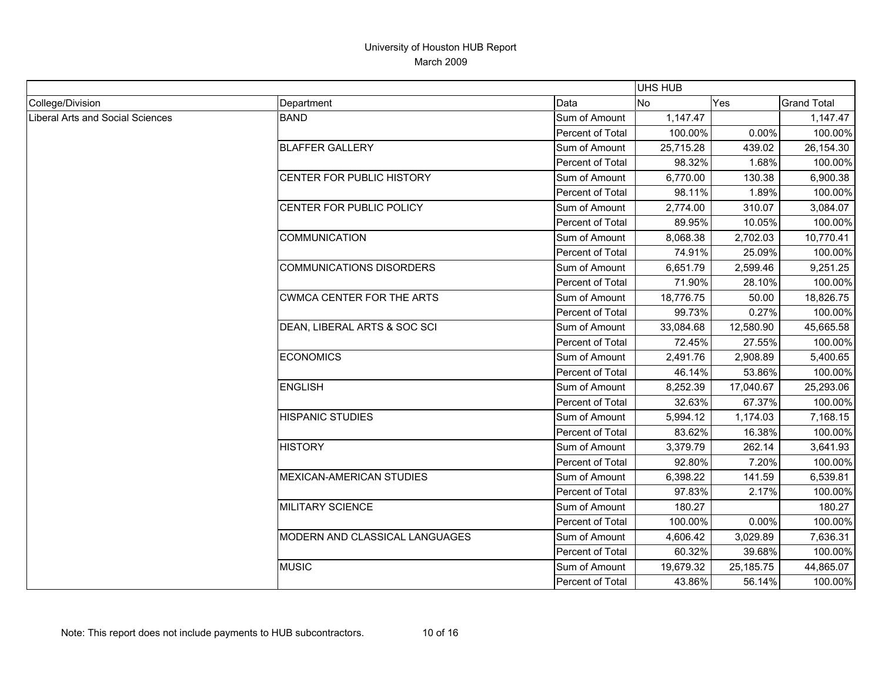|                                  |                                  |                         | <b>UHS HUB</b> |           |                    |
|----------------------------------|----------------------------------|-------------------------|----------------|-----------|--------------------|
| College/Division                 | Department                       | Data                    | <b>No</b>      | Yes       | <b>Grand Total</b> |
| Liberal Arts and Social Sciences | <b>BAND</b>                      | Sum of Amount           | 1,147.47       |           | 1,147.47           |
|                                  |                                  | Percent of Total        | 100.00%        | 0.00%     | 100.00%            |
|                                  | <b>BLAFFER GALLERY</b>           | Sum of Amount           | 25,715.28      | 439.02    | 26,154.30          |
|                                  |                                  | Percent of Total        | 98.32%         | 1.68%     | 100.00%            |
|                                  | CENTER FOR PUBLIC HISTORY        | Sum of Amount           | 6,770.00       | 130.38    | 6,900.38           |
|                                  |                                  | Percent of Total        | 98.11%         | 1.89%     | 100.00%            |
|                                  | CENTER FOR PUBLIC POLICY         | Sum of Amount           | 2,774.00       | 310.07    | 3,084.07           |
|                                  |                                  | Percent of Total        | 89.95%         | 10.05%    | 100.00%            |
|                                  | <b>COMMUNICATION</b>             | Sum of Amount           | 8,068.38       | 2,702.03  | 10,770.41          |
|                                  |                                  | Percent of Total        | 74.91%         | 25.09%    | 100.00%            |
|                                  | <b>COMMUNICATIONS DISORDERS</b>  | Sum of Amount           | 6,651.79       | 2,599.46  | 9,251.25           |
|                                  |                                  | Percent of Total        | 71.90%         | 28.10%    | 100.00%            |
|                                  | <b>CWMCA CENTER FOR THE ARTS</b> | Sum of Amount           | 18,776.75      | 50.00     | 18,826.75          |
|                                  |                                  | <b>Percent of Total</b> | 99.73%         | 0.27%     | 100.00%            |
|                                  | DEAN, LIBERAL ARTS & SOC SCI     | Sum of Amount           | 33,084.68      | 12,580.90 | 45,665.58          |
|                                  |                                  | Percent of Total        | 72.45%         | 27.55%    | 100.00%            |
|                                  | <b>ECONOMICS</b>                 | Sum of Amount           | 2,491.76       | 2,908.89  | 5,400.65           |
|                                  |                                  | Percent of Total        | 46.14%         | 53.86%    | 100.00%            |
|                                  | <b>ENGLISH</b>                   | Sum of Amount           | 8,252.39       | 17,040.67 | 25,293.06          |
|                                  |                                  | Percent of Total        | 32.63%         | 67.37%    | 100.00%            |
|                                  | <b>HISPANIC STUDIES</b>          | Sum of Amount           | 5,994.12       | 1,174.03  | 7,168.15           |
|                                  |                                  | Percent of Total        | 83.62%         | 16.38%    | 100.00%            |
|                                  | <b>HISTORY</b>                   | Sum of Amount           | 3,379.79       | 262.14    | 3,641.93           |
|                                  |                                  | Percent of Total        | 92.80%         | 7.20%     | 100.00%            |
|                                  | <b>MEXICAN-AMERICAN STUDIES</b>  | Sum of Amount           | 6,398.22       | 141.59    | 6,539.81           |
|                                  |                                  | Percent of Total        | 97.83%         | 2.17%     | 100.00%            |
|                                  | MILITARY SCIENCE                 | Sum of Amount           | 180.27         |           | 180.27             |
|                                  |                                  | Percent of Total        | 100.00%        | 0.00%     | 100.00%            |
|                                  | MODERN AND CLASSICAL LANGUAGES   | Sum of Amount           | 4,606.42       | 3,029.89  | 7,636.31           |
|                                  |                                  | Percent of Total        | 60.32%         | 39.68%    | 100.00%            |
|                                  | <b>MUSIC</b>                     | Sum of Amount           | 19,679.32      | 25,185.75 | 44,865.07          |
|                                  |                                  | Percent of Total        | 43.86%         | 56.14%    | 100.00%            |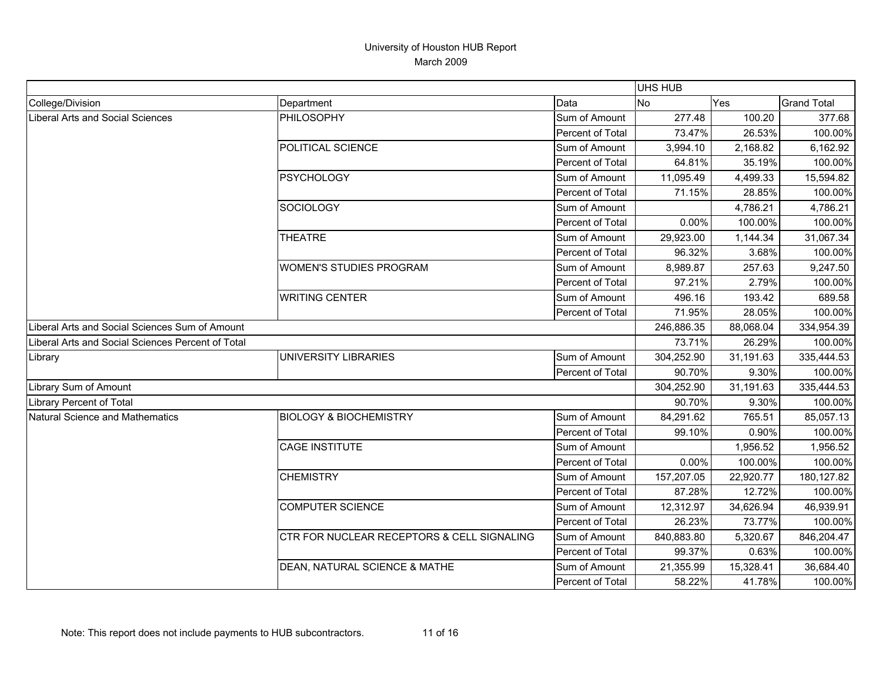|                                                   |                                            |                  | <b>UHS HUB</b> |           |                    |
|---------------------------------------------------|--------------------------------------------|------------------|----------------|-----------|--------------------|
| College/Division                                  | Department                                 | Data             | <b>No</b>      | Yes       | <b>Grand Total</b> |
| Liberal Arts and Social Sciences                  | PHILOSOPHY                                 | Sum of Amount    | 277.48         | 100.20    | 377.68             |
|                                                   |                                            | Percent of Total | 73.47%         | 26.53%    | 100.00%            |
|                                                   | POLITICAL SCIENCE                          | Sum of Amount    | 3,994.10       | 2,168.82  | 6,162.92           |
|                                                   |                                            | Percent of Total | 64.81%         | 35.19%    | 100.00%            |
|                                                   | <b>PSYCHOLOGY</b>                          | Sum of Amount    | 11,095.49      | 4,499.33  | 15,594.82          |
|                                                   |                                            | Percent of Total | 71.15%         | 28.85%    | 100.00%            |
|                                                   | SOCIOLOGY                                  | Sum of Amount    |                | 4,786.21  | 4,786.21           |
|                                                   |                                            | Percent of Total | 0.00%          | 100.00%   | 100.00%            |
|                                                   | <b>THEATRE</b>                             | Sum of Amount    | 29,923.00      | 1,144.34  | 31,067.34          |
|                                                   |                                            | Percent of Total | 96.32%         | 3.68%     | 100.00%            |
|                                                   | <b>WOMEN'S STUDIES PROGRAM</b>             | Sum of Amount    | 8,989.87       | 257.63    | 9,247.50           |
|                                                   |                                            | Percent of Total | 97.21%         | 2.79%     | 100.00%            |
|                                                   | <b>WRITING CENTER</b>                      | Sum of Amount    | 496.16         | 193.42    | 689.58             |
|                                                   |                                            | Percent of Total | 71.95%         | 28.05%    | 100.00%            |
| Liberal Arts and Social Sciences Sum of Amount    |                                            |                  | 246,886.35     | 88,068.04 | 334,954.39         |
| Liberal Arts and Social Sciences Percent of Total |                                            |                  | 73.71%         | 26.29%    | 100.00%            |
| Library                                           | <b>UNIVERSITY LIBRARIES</b>                | Sum of Amount    | 304,252.90     | 31,191.63 | 335,444.53         |
|                                                   |                                            | Percent of Total | 90.70%         | 9.30%     | 100.00%            |
| Library Sum of Amount                             |                                            |                  | 304,252.90     | 31,191.63 | 335,444.53         |
| <b>Library Percent of Total</b>                   |                                            |                  | 90.70%         | 9.30%     | 100.00%            |
| Natural Science and Mathematics                   | <b>BIOLOGY &amp; BIOCHEMISTRY</b>          | Sum of Amount    | 84,291.62      | 765.51    | 85,057.13          |
|                                                   |                                            | Percent of Total | 99.10%         | 0.90%     | 100.00%            |
|                                                   | <b>CAGE INSTITUTE</b>                      | Sum of Amount    |                | 1,956.52  | 1,956.52           |
|                                                   |                                            | Percent of Total | 0.00%          | 100.00%   | 100.00%            |
|                                                   | <b>CHEMISTRY</b>                           | Sum of Amount    | 157,207.05     | 22,920.77 | 180,127.82         |
|                                                   |                                            | Percent of Total | 87.28%         | 12.72%    | 100.00%            |
|                                                   | <b>COMPUTER SCIENCE</b>                    | Sum of Amount    | 12,312.97      | 34,626.94 | 46,939.91          |
|                                                   |                                            | Percent of Total | 26.23%         | 73.77%    | 100.00%            |
|                                                   | CTR FOR NUCLEAR RECEPTORS & CELL SIGNALING | Sum of Amount    | 840,883.80     | 5,320.67  | 846,204.47         |
|                                                   |                                            | Percent of Total | 99.37%         | 0.63%     | 100.00%            |
|                                                   | DEAN, NATURAL SCIENCE & MATHE              | Sum of Amount    | 21,355.99      | 15,328.41 | 36,684.40          |
|                                                   |                                            | Percent of Total | 58.22%         | 41.78%    | 100.00%            |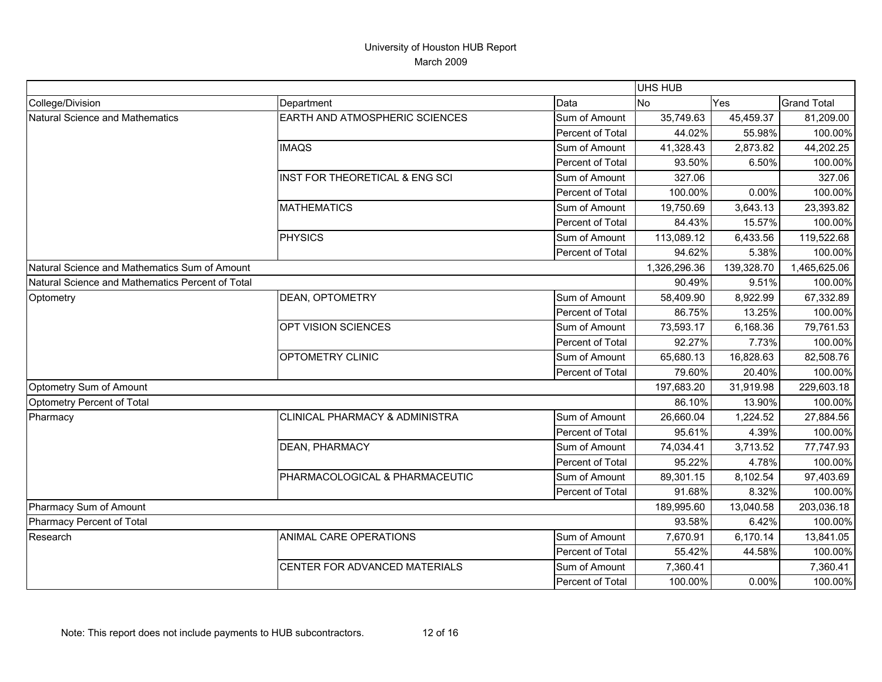|                                                  |                                       |                  | UHS HUB      |            |                    |
|--------------------------------------------------|---------------------------------------|------------------|--------------|------------|--------------------|
| College/Division                                 | Department                            | Data             | No           | Yes        | <b>Grand Total</b> |
| <b>Natural Science and Mathematics</b>           | <b>EARTH AND ATMOSPHERIC SCIENCES</b> | Sum of Amount    | 35,749.63    | 45,459.37  | 81,209.00          |
|                                                  |                                       | Percent of Total | 44.02%       | 55.98%     | 100.00%            |
|                                                  | <b>IMAQS</b>                          | Sum of Amount    | 41,328.43    | 2,873.82   | 44,202.25          |
|                                                  |                                       | Percent of Total | 93.50%       | 6.50%      | 100.00%            |
|                                                  | INST FOR THEORETICAL & ENG SCI        | Sum of Amount    | 327.06       |            | 327.06             |
|                                                  |                                       | Percent of Total | 100.00%      | 0.00%      | 100.00%            |
|                                                  | <b>MATHEMATICS</b>                    | Sum of Amount    | 19,750.69    | 3,643.13   | 23,393.82          |
|                                                  |                                       | Percent of Total | 84.43%       | 15.57%     | 100.00%            |
|                                                  | <b>PHYSICS</b>                        | Sum of Amount    | 113,089.12   | 6,433.56   | 119,522.68         |
|                                                  |                                       | Percent of Total | 94.62%       | 5.38%      | 100.00%            |
| Natural Science and Mathematics Sum of Amount    |                                       |                  | 1,326,296.36 | 139,328.70 | 1,465,625.06       |
| Natural Science and Mathematics Percent of Total |                                       |                  | 90.49%       | 9.51%      | 100.00%            |
| Optometry                                        | <b>DEAN, OPTOMETRY</b>                | Sum of Amount    | 58,409.90    | 8,922.99   | 67,332.89          |
|                                                  |                                       | Percent of Total | 86.75%       | 13.25%     | 100.00%            |
|                                                  | OPT VISION SCIENCES                   | Sum of Amount    | 73,593.17    | 6,168.36   | 79,761.53          |
|                                                  |                                       | Percent of Total | 92.27%       | 7.73%      | 100.00%            |
|                                                  | OPTOMETRY CLINIC                      | Sum of Amount    | 65,680.13    | 16,828.63  | 82,508.76          |
|                                                  |                                       | Percent of Total | 79.60%       | 20.40%     | 100.00%            |
| Optometry Sum of Amount                          |                                       |                  | 197,683.20   | 31,919.98  | 229,603.18         |
| Optometry Percent of Total                       |                                       |                  | 86.10%       | 13.90%     | 100.00%            |
| Pharmacy                                         | CLINICAL PHARMACY & ADMINISTRA        | Sum of Amount    | 26,660.04    | 1,224.52   | 27,884.56          |
|                                                  |                                       | Percent of Total | 95.61%       | 4.39%      | 100.00%            |
|                                                  | <b>DEAN, PHARMACY</b>                 | Sum of Amount    | 74,034.41    | 3,713.52   | 77,747.93          |
|                                                  |                                       | Percent of Total | 95.22%       | 4.78%      | 100.00%            |
|                                                  | PHARMACOLOGICAL & PHARMACEUTIC        | Sum of Amount    | 89,301.15    | 8,102.54   | 97,403.69          |
|                                                  |                                       | Percent of Total | 91.68%       | 8.32%      | 100.00%            |
| Pharmacy Sum of Amount                           |                                       |                  | 189,995.60   | 13,040.58  | 203,036.18         |
| Pharmacy Percent of Total                        |                                       |                  | 93.58%       | 6.42%      | 100.00%            |
| Research                                         | ANIMAL CARE OPERATIONS                | Sum of Amount    | 7,670.91     | 6,170.14   | 13,841.05          |
|                                                  |                                       | Percent of Total | 55.42%       | 44.58%     | 100.00%            |
|                                                  | CENTER FOR ADVANCED MATERIALS         | Sum of Amount    | 7,360.41     |            | 7,360.41           |
|                                                  |                                       | Percent of Total | 100.00%      | 0.00%      | 100.00%            |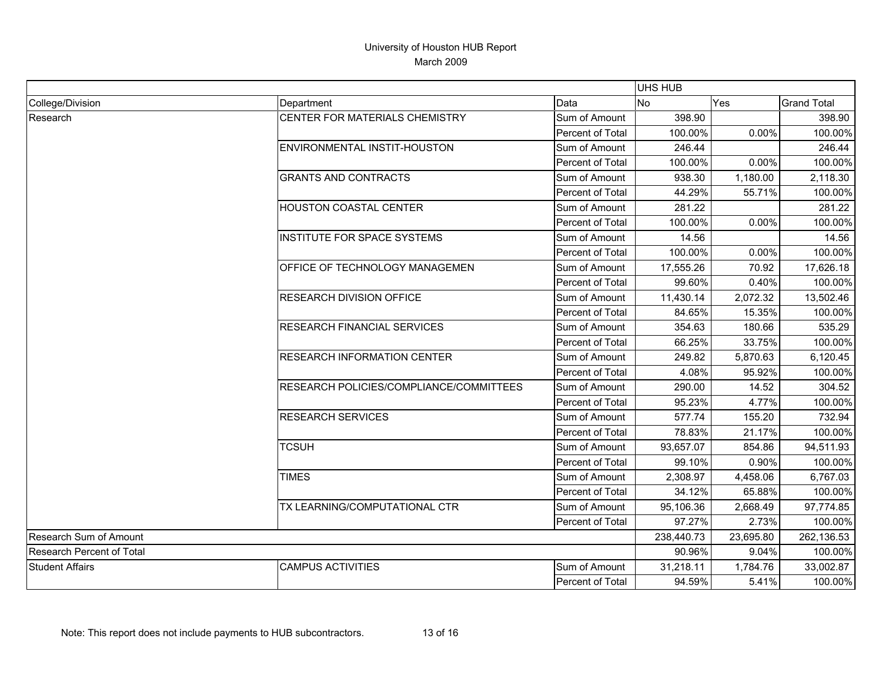|                           |                                         |                  | UHS HUB    |           |                    |
|---------------------------|-----------------------------------------|------------------|------------|-----------|--------------------|
| College/Division          | Department                              | Data             | <b>No</b>  | Yes       | <b>Grand Total</b> |
| Research                  | CENTER FOR MATERIALS CHEMISTRY          | Sum of Amount    | 398.90     |           | 398.90             |
|                           |                                         | Percent of Total | 100.00%    | 0.00%     | 100.00%            |
|                           | ENVIRONMENTAL INSTIT-HOUSTON            | Sum of Amount    | 246.44     |           | 246.44             |
|                           |                                         | Percent of Total | 100.00%    | 0.00%     | 100.00%            |
|                           | <b>GRANTS AND CONTRACTS</b>             | Sum of Amount    | 938.30     | 1,180.00  | 2,118.30           |
|                           |                                         | Percent of Total | 44.29%     | 55.71%    | 100.00%            |
|                           | <b>HOUSTON COASTAL CENTER</b>           | Sum of Amount    | 281.22     |           | 281.22             |
|                           |                                         | Percent of Total | 100.00%    | 0.00%     | 100.00%            |
|                           | INSTITUTE FOR SPACE SYSTEMS             | Sum of Amount    | 14.56      |           | 14.56              |
|                           |                                         | Percent of Total | 100.00%    | 0.00%     | 100.00%            |
|                           | OFFICE OF TECHNOLOGY MANAGEMEN          | Sum of Amount    | 17,555.26  | 70.92     | 17,626.18          |
|                           |                                         | Percent of Total | 99.60%     | 0.40%     | 100.00%            |
|                           | <b>RESEARCH DIVISION OFFICE</b>         | Sum of Amount    | 11,430.14  | 2,072.32  | 13,502.46          |
|                           |                                         | Percent of Total | 84.65%     | 15.35%    | 100.00%            |
|                           | <b>RESEARCH FINANCIAL SERVICES</b>      | Sum of Amount    | 354.63     | 180.66    | 535.29             |
|                           |                                         | Percent of Total | 66.25%     | 33.75%    | 100.00%            |
|                           | <b>RESEARCH INFORMATION CENTER</b>      | Sum of Amount    | 249.82     | 5,870.63  | 6,120.45           |
|                           |                                         | Percent of Total | 4.08%      | 95.92%    | 100.00%            |
|                           | RESEARCH POLICIES/COMPLIANCE/COMMITTEES | Sum of Amount    | 290.00     | 14.52     | 304.52             |
|                           |                                         | Percent of Total | 95.23%     | 4.77%     | 100.00%            |
|                           | <b>RESEARCH SERVICES</b>                | Sum of Amount    | 577.74     | 155.20    | 732.94             |
|                           |                                         | Percent of Total | 78.83%     | 21.17%    | 100.00%            |
|                           | <b>TCSUH</b>                            | Sum of Amount    | 93,657.07  | 854.86    | 94,511.93          |
|                           |                                         | Percent of Total | 99.10%     | 0.90%     | 100.00%            |
|                           | <b>TIMES</b>                            | Sum of Amount    | 2,308.97   | 4,458.06  | 6,767.03           |
|                           |                                         | Percent of Total | 34.12%     | 65.88%    | 100.00%            |
|                           | TX LEARNING/COMPUTATIONAL CTR           | Sum of Amount    | 95,106.36  | 2,668.49  | 97,774.85          |
|                           |                                         | Percent of Total | 97.27%     | 2.73%     | 100.00%            |
| Research Sum of Amount    |                                         |                  | 238,440.73 | 23,695.80 | 262,136.53         |
| Research Percent of Total |                                         | 90.96%           | 9.04%      | 100.00%   |                    |
| <b>Student Affairs</b>    | <b>CAMPUS ACTIVITIES</b>                | Sum of Amount    | 31,218.11  | 1,784.76  | 33,002.87          |
|                           |                                         | Percent of Total | 94.59%     | 5.41%     | 100.00%            |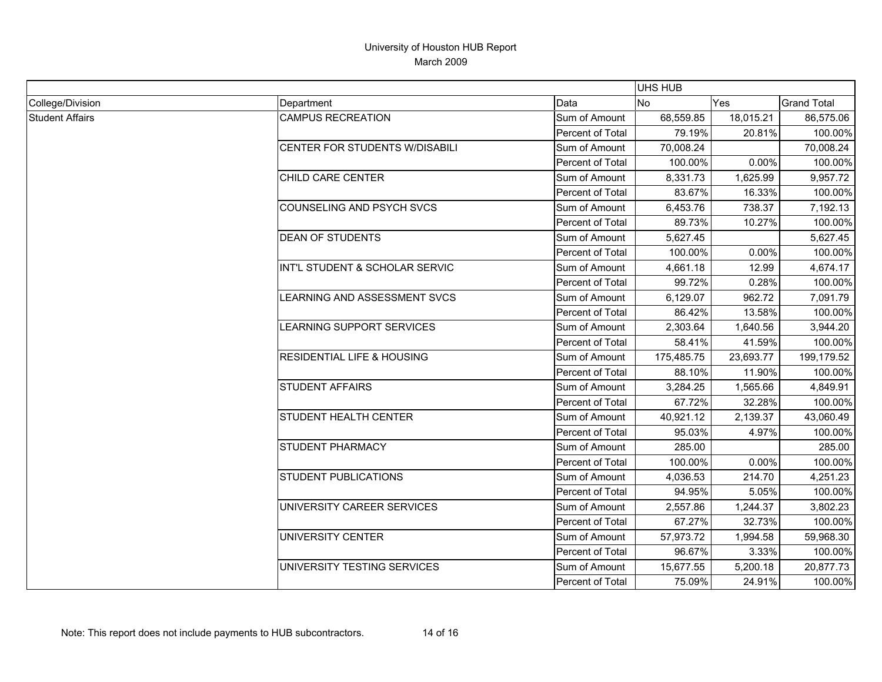|                        |                                       |                         | UHS HUB    |           |                    |
|------------------------|---------------------------------------|-------------------------|------------|-----------|--------------------|
| College/Division       | Department                            | Data                    | <b>No</b>  | Yes       | <b>Grand Total</b> |
| <b>Student Affairs</b> | <b>CAMPUS RECREATION</b>              | Sum of Amount           | 68,559.85  | 18,015.21 | 86,575.06          |
|                        |                                       | <b>Percent of Total</b> | 79.19%     | 20.81%    | 100.00%            |
|                        | CENTER FOR STUDENTS W/DISABILI        | Sum of Amount           | 70,008.24  |           | 70,008.24          |
|                        |                                       | Percent of Total        | 100.00%    | 0.00%     | 100.00%            |
|                        | CHILD CARE CENTER                     | Sum of Amount           | 8,331.73   | 1.625.99  | 9,957.72           |
|                        |                                       | Percent of Total        | 83.67%     | 16.33%    | 100.00%            |
|                        | COUNSELING AND PSYCH SVCS             | Sum of Amount           | 6,453.76   | 738.37    | 7,192.13           |
|                        |                                       | Percent of Total        | 89.73%     | 10.27%    | 100.00%            |
|                        | <b>DEAN OF STUDENTS</b>               | Sum of Amount           | 5,627.45   |           | 5,627.45           |
|                        |                                       | Percent of Total        | 100.00%    | 0.00%     | 100.00%            |
|                        | INT'L STUDENT & SCHOLAR SERVIC        | Sum of Amount           | 4,661.18   | 12.99     | 4,674.17           |
|                        |                                       | Percent of Total        | 99.72%     | 0.28%     | 100.00%            |
|                        | LEARNING AND ASSESSMENT SVCS          | Sum of Amount           | 6,129.07   | 962.72    | 7,091.79           |
|                        |                                       | Percent of Total        | 86.42%     | 13.58%    | 100.00%            |
|                        | LEARNING SUPPORT SERVICES             | Sum of Amount           | 2,303.64   | 1,640.56  | 3,944.20           |
|                        |                                       | Percent of Total        | 58.41%     | 41.59%    | 100.00%            |
|                        | <b>RESIDENTIAL LIFE &amp; HOUSING</b> | Sum of Amount           | 175,485.75 | 23,693.77 | 199,179.52         |
|                        |                                       | Percent of Total        | 88.10%     | 11.90%    | 100.00%            |
|                        | <b>STUDENT AFFAIRS</b>                | Sum of Amount           | 3,284.25   | 1,565.66  | 4,849.91           |
|                        |                                       | Percent of Total        | 67.72%     | 32.28%    | 100.00%            |
|                        | STUDENT HEALTH CENTER                 | Sum of Amount           | 40,921.12  | 2,139.37  | 43,060.49          |
|                        |                                       | Percent of Total        | 95.03%     | 4.97%     | 100.00%            |
|                        | <b>STUDENT PHARMACY</b>               | Sum of Amount           | 285.00     |           | 285.00             |
|                        |                                       | Percent of Total        | 100.00%    | 0.00%     | 100.00%            |
|                        | <b>STUDENT PUBLICATIONS</b>           | Sum of Amount           | 4,036.53   | 214.70    | 4,251.23           |
|                        |                                       | Percent of Total        | 94.95%     | 5.05%     | 100.00%            |
|                        | UNIVERSITY CAREER SERVICES            | Sum of Amount           | 2,557.86   | 1,244.37  | 3,802.23           |
|                        |                                       | Percent of Total        | 67.27%     | 32.73%    | 100.00%            |
|                        | <b>UNIVERSITY CENTER</b>              | Sum of Amount           | 57,973.72  | 1,994.58  | 59,968.30          |
|                        |                                       | Percent of Total        | 96.67%     | 3.33%     | 100.00%            |
|                        | UNIVERSITY TESTING SERVICES           | Sum of Amount           | 15,677.55  | 5,200.18  | 20,877.73          |
|                        |                                       | Percent of Total        | 75.09%     | 24.91%    | 100.00%            |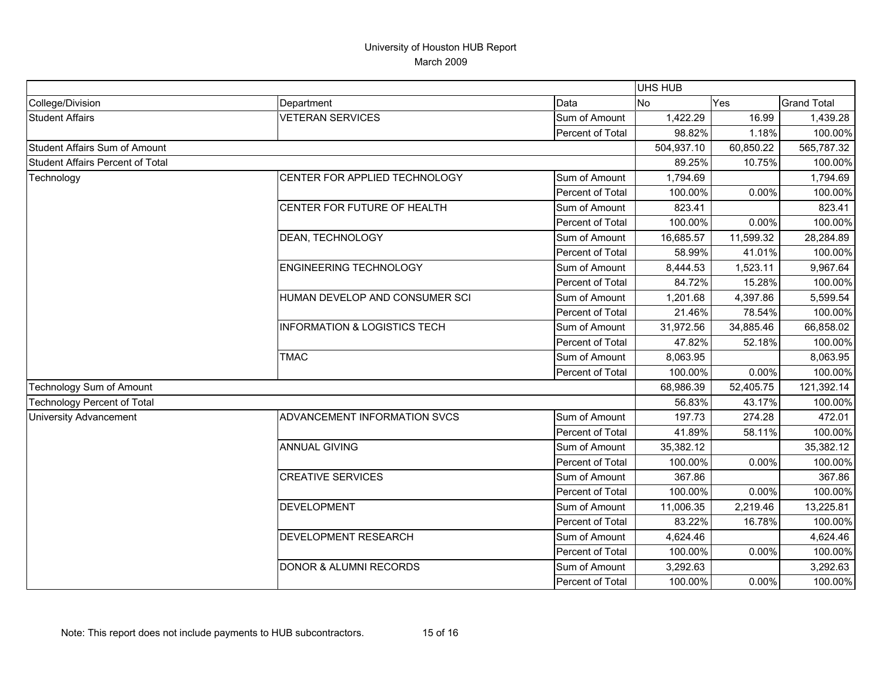|                                         |                                         |                  | <b>UHS HUB</b> |            |                    |
|-----------------------------------------|-----------------------------------------|------------------|----------------|------------|--------------------|
| College/Division                        | Department                              | Data             | <b>No</b>      | Yes        | <b>Grand Total</b> |
| <b>Student Affairs</b>                  | <b>VETERAN SERVICES</b>                 | Sum of Amount    | 1,422.29       | 16.99      | 1,439.28           |
|                                         |                                         | Percent of Total | 98.82%         | 1.18%      | 100.00%            |
| Student Affairs Sum of Amount           |                                         | 504,937.10       | 60,850.22      | 565,787.32 |                    |
| <b>Student Affairs Percent of Total</b> |                                         |                  | 89.25%         | 10.75%     | 100.00%            |
| Technology                              | CENTER FOR APPLIED TECHNOLOGY           | Sum of Amount    | 1,794.69       |            | 1,794.69           |
|                                         |                                         | Percent of Total | 100.00%        | 0.00%      | 100.00%            |
|                                         | CENTER FOR FUTURE OF HEALTH             | Sum of Amount    | 823.41         |            | 823.41             |
|                                         |                                         | Percent of Total | 100.00%        | 0.00%      | 100.00%            |
|                                         | DEAN, TECHNOLOGY                        | Sum of Amount    | 16,685.57      | 11,599.32  | 28,284.89          |
|                                         |                                         | Percent of Total | 58.99%         | 41.01%     | 100.00%            |
|                                         | <b>ENGINEERING TECHNOLOGY</b>           | Sum of Amount    | 8,444.53       | 1,523.11   | 9,967.64           |
|                                         |                                         | Percent of Total | 84.72%         | 15.28%     | 100.00%            |
|                                         | HUMAN DEVELOP AND CONSUMER SCI          | Sum of Amount    | 1,201.68       | 4,397.86   | 5,599.54           |
|                                         |                                         | Percent of Total | 21.46%         | 78.54%     | 100.00%            |
|                                         | <b>INFORMATION &amp; LOGISTICS TECH</b> | Sum of Amount    | 31,972.56      | 34,885.46  | 66,858.02          |
|                                         |                                         | Percent of Total | 47.82%         | 52.18%     | 100.00%            |
|                                         | <b>TMAC</b>                             | Sum of Amount    | 8,063.95       |            | 8,063.95           |
|                                         |                                         | Percent of Total | 100.00%        | 0.00%      | 100.00%            |
| Technology Sum of Amount                |                                         |                  | 68,986.39      | 52,405.75  | 121,392.14         |
| <b>Technology Percent of Total</b>      |                                         |                  | 56.83%         | 43.17%     | 100.00%            |
| <b>University Advancement</b>           | ADVANCEMENT INFORMATION SVCS            | Sum of Amount    | 197.73         | 274.28     | 472.01             |
|                                         |                                         | Percent of Total | 41.89%         | 58.11%     | 100.00%            |
|                                         | <b>ANNUAL GIVING</b>                    | Sum of Amount    | 35,382.12      |            | 35,382.12          |
|                                         |                                         | Percent of Total | 100.00%        | 0.00%      | 100.00%            |
|                                         | <b>CREATIVE SERVICES</b>                | Sum of Amount    | 367.86         |            | 367.86             |
|                                         |                                         | Percent of Total | 100.00%        | 0.00%      | 100.00%            |
|                                         | <b>DEVELOPMENT</b>                      | Sum of Amount    | 11,006.35      | 2,219.46   | 13,225.81          |
|                                         |                                         | Percent of Total | 83.22%         | 16.78%     | 100.00%            |
|                                         | <b>DEVELOPMENT RESEARCH</b>             | Sum of Amount    | 4,624.46       |            | 4,624.46           |
|                                         |                                         | Percent of Total | 100.00%        | 0.00%      | 100.00%            |
|                                         | <b>DONOR &amp; ALUMNI RECORDS</b>       | Sum of Amount    | 3,292.63       |            | 3,292.63           |
|                                         |                                         | Percent of Total | 100.00%        | 0.00%      | 100.00%            |